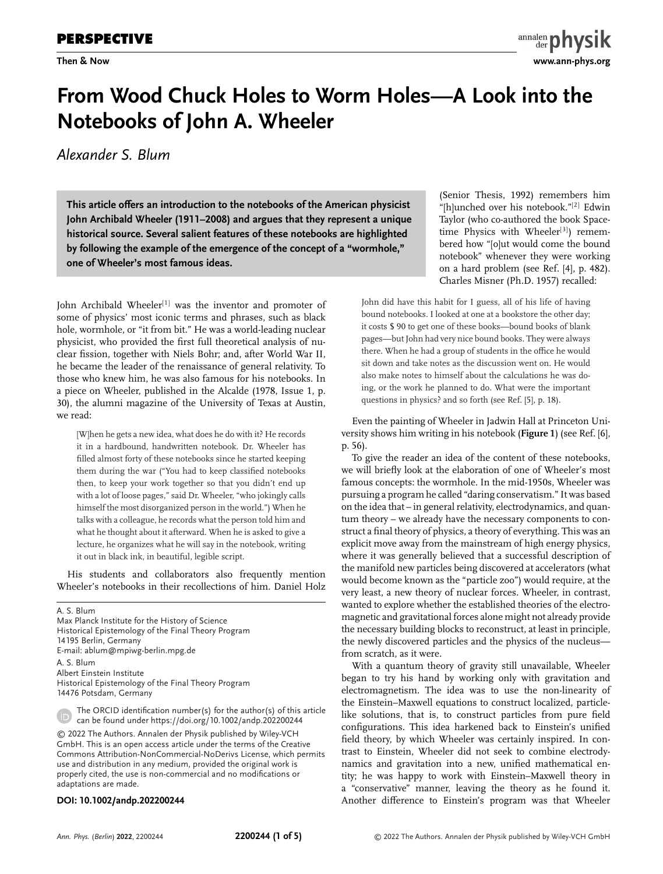# **From Wood Chuck Holes to Worm Holes—A Look into the Notebooks of John A. Wheeler**

*Alexander S. Blum*

**This article offers an introduction to the notebooks of the American physicist John Archibald Wheeler (1911–2008) and argues that they represent a unique historical source. Several salient features of these notebooks are highlighted by following the example of the emergence of the concept of a "wormhole," one of Wheeler's most famous ideas.**

John Archibald Wheeler<sup>[1]</sup> was the inventor and promoter of some of physics' most iconic terms and phrases, such as black hole, wormhole, or "it from bit." He was a world-leading nuclear physicist, who provided the first full theoretical analysis of nuclear fission, together with Niels Bohr; and, after World War II, he became the leader of the renaissance of general relativity. To those who knew him, he was also famous for his notebooks. In a piece on Wheeler, published in the Alcalde (1978, Issue 1, p. 30), the alumni magazine of the University of Texas at Austin, we read:

[W]hen he gets a new idea, what does he do with it? He records it in a hardbound, handwritten notebook. Dr. Wheeler has filled almost forty of these notebooks since he started keeping them during the war ("You had to keep classified notebooks then, to keep your work together so that you didn't end up with a lot of loose pages," said Dr. Wheeler, "who jokingly calls himself the most disorganized person in the world.") When he talks with a colleague, he records what the person told him and what he thought about it afterward. When he is asked to give a lecture, he organizes what he will say in the notebook, writing it out in black ink, in beautiful, legible script.

His students and collaborators also frequently mention Wheeler's notebooks in their recollections of him. Daniel Holz

A. S. Blum Max Planck Institute for the History of Science Historical Epistemology of the Final Theory Program 14195 Berlin, Germany E-mail: [ablum@mpiwg-berlin.mpg.de](mailto:ablum@mpiwg-berlin.mpg.de) A. S. Blum Albert Einstein Institute Historical Epistemology of the Final Theory Program 14476 Potsdam, Germany

The ORCID identification number(s) for the author(s) of this article can be found under<https://doi.org/10.1002/andp.202200244> © 2022 The Authors. Annalen der Physik published by Wiley-VCH GmbH. This is an open access article under the terms of the [Creative](http://creativecommons.org/licenses/by-nc-nd/4.0/) [Commons Attribution-NonCommercial-NoDerivs](http://creativecommons.org/licenses/by-nc-nd/4.0/) License, which permits use and distribution in any medium, provided the original work is properly cited, the use is non-commercial and no modifications or

#### **DOI: 10.1002/andp.202200244**

(Senior Thesis, 1992) remembers him "[h]unched over his notebook."[2] Edwin Taylor (who co-authored the book Spacetime Physics with Wheeler<sup>[3]</sup>) remembered how "[o]ut would come the bound notebook" whenever they were working on a hard problem (see Ref. [4], p. 482). Charles Misner (Ph.D. 1957) recalled:

John did have this habit for I guess, all of his life of having bound notebooks. I looked at one at a bookstore the other day; it costs \$ 90 to get one of these books—bound books of blank pages—but John had very nice bound books. They were always there. When he had a group of students in the office he would sit down and take notes as the discussion went on. He would also make notes to himself about the calculations he was doing, or the work he planned to do. What were the important questions in physics? and so forth (see Ref. [5], p. 18).

Even the painting of Wheeler in Jadwin Hall at Princeton University shows him writing in his notebook (**Figure 1**) (see Ref. [6], p. 56).

To give the reader an idea of the content of these notebooks, we will briefly look at the elaboration of one of Wheeler's most famous concepts: the wormhole. In the mid-1950s, Wheeler was pursuing a program he called "daring conservatism." It was based on the idea that – in general relativity, electrodynamics, and quantum theory – we already have the necessary components to construct a final theory of physics, a theory of everything. This was an explicit move away from the mainstream of high energy physics, where it was generally believed that a successful description of the manifold new particles being discovered at accelerators (what would become known as the "particle zoo") would require, at the very least, a new theory of nuclear forces. Wheeler, in contrast, wanted to explore whether the established theories of the electromagnetic and gravitational forces alone might not already provide the necessary building blocks to reconstruct, at least in principle, the newly discovered particles and the physics of the nucleus from scratch, as it were.

With a quantum theory of gravity still unavailable, Wheeler began to try his hand by working only with gravitation and electromagnetism. The idea was to use the non-linearity of the Einstein–Maxwell equations to construct localized, particlelike solutions, that is, to construct particles from pure field configurations. This idea harkened back to Einstein's unified field theory, by which Wheeler was certainly inspired. In contrast to Einstein, Wheeler did not seek to combine electrodynamics and gravitation into a new, unified mathematical entity; he was happy to work with Einstein–Maxwell theory in a "conservative" manner, leaving the theory as he found it. Another difference to Einstein's program was that Wheeler

adaptations are made.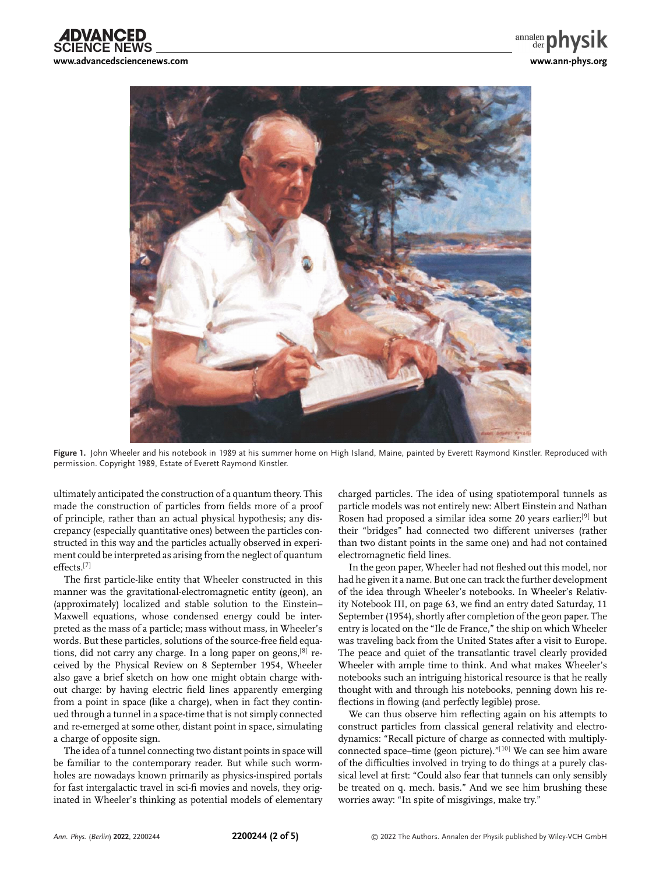

**Figure 1.** John Wheeler and his notebook in 1989 at his summer home on High Island, Maine, painted by Everett Raymond Kinstler. Reproduced with permission. Copyright 1989, Estate of Everett Raymond Kinstler.

ultimately anticipated the construction of a quantum theory. This made the construction of particles from fields more of a proof of principle, rather than an actual physical hypothesis; any discrepancy (especially quantitative ones) between the particles constructed in this way and the particles actually observed in experiment could be interpreted as arising from the neglect of quantum effects.[7]

The first particle-like entity that Wheeler constructed in this manner was the gravitational-electromagnetic entity (geon), an (approximately) localized and stable solution to the Einstein– Maxwell equations, whose condensed energy could be interpreted as the mass of a particle; mass without mass, in Wheeler's words. But these particles, solutions of the source-free field equations, did not carry any charge. In a long paper on geons,<sup>[8]</sup> received by the Physical Review on 8 September 1954, Wheeler also gave a brief sketch on how one might obtain charge without charge: by having electric field lines apparently emerging from a point in space (like a charge), when in fact they continued through a tunnel in a space-time that is not simply connected and re-emerged at some other, distant point in space, simulating a charge of opposite sign.

The idea of a tunnel connecting two distant points in space will be familiar to the contemporary reader. But while such wormholes are nowadays known primarily as physics-inspired portals for fast intergalactic travel in sci-fi movies and novels, they originated in Wheeler's thinking as potential models of elementary

charged particles. The idea of using spatiotemporal tunnels as particle models was not entirely new: Albert Einstein and Nathan Rosen had proposed a similar idea some 20 years earlier;[9] but their "bridges" had connected two different universes (rather than two distant points in the same one) and had not contained electromagnetic field lines.

In the geon paper, Wheeler had not fleshed out this model, nor had he given it a name. But one can track the further development of the idea through Wheeler's notebooks. In Wheeler's Relativity Notebook III, on page 63, we find an entry dated Saturday, 11 September (1954), shortly after completion of the geon paper. The entry is located on the "Ile de France," the ship on which Wheeler was traveling back from the United States after a visit to Europe. The peace and quiet of the transatlantic travel clearly provided Wheeler with ample time to think. And what makes Wheeler's notebooks such an intriguing historical resource is that he really thought with and through his notebooks, penning down his reflections in flowing (and perfectly legible) prose.

We can thus observe him reflecting again on his attempts to construct particles from classical general relativity and electrodynamics: "Recall picture of charge as connected with multiplyconnected space–time (geon picture)."<sup>[10]</sup> We can see him aware of the difficulties involved in trying to do things at a purely classical level at first: "Could also fear that tunnels can only sensibly be treated on q. mech. basis." And we see him brushing these worries away: "In spite of misgivings, make try."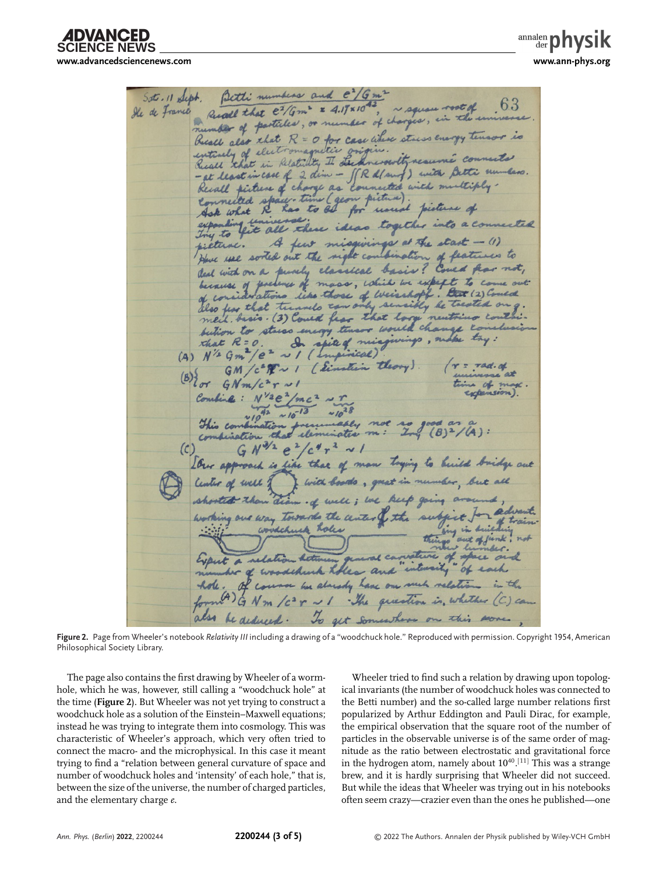**SCIENCE NEWS [www.advancedsciencenews.com](http://www.advancedsciencenews.com) [www.ann-phys.org](http://www.ann-phys.org)**

 $\frac{1}{\text{anialen}}$ 

Betti numbers and  $e^2/Gm^2$ <br>Recall that  $e^2/Gm^2 = 4.17 \times 10^{-42}$ , a square root of ... 63 Sot . 11 Sept. He de France Reall also that R = 0 for case where staiss energy tensor is entirely of electromagnetic entirely of electromagnetic confer south resume comments reall that in case of 2 dim - JR d(sung) with Betti numbers.<br>- at least in case of 2 dim - JR d(sung) with multiply --at least in case of Connected space. time (geom picture) picture of ne (geom picture). what R has to be for usual persons of etune. A few misquings at the start - (1) use sorted out the night combination of features to deal with on a purely classical basis? Coved floor not, because of pretence of mass, which we expect to con of considerations like those of weisshopf. But (2) Comed med. dasis. (3) Could fear that loop neutrino contai. betion to stares energy theser would change to that R=0. In spieg mings vings, make try: GM / c = M ~ 1 ( Sinstein theory ).  $\pi G N m/c^2 r \sim$ Combine:  $N^{\frac{12e^2}{mc^2}}\sim\frac{r}{10^{28}}$ <br>This combination for  $10^{13}$   $10^{28}$ <br>Combination that elementative m:  $2\pi$  (8)<sup>2</sup>/A):  $GN^{3/2}e^{2}/c^{4}r^{2} \sim 1$  $(C)$ I our approach is like that of man toging to build bridge out the of well of I with booths, great in number, but all shorted than draw of well; we keep going are in of well ; we keep going arou Activism general carvature of space her of woodshick holes and interesty of each of course her alarsdy have one such relation GNm / c r ~ 1 The question in whether (C) can also be deduced. To get somewhere on this soone.

**Figure 2.** Page from Wheeler's notebook *Relativity III* including a drawing of a "woodchuck hole." Reproduced with permission. Copyright 1954, American Philosophical Society Library.

The page also contains the first drawing by Wheeler of a wormhole, which he was, however, still calling a "woodchuck hole" at the time (**Figure 2**). But Wheeler was not yet trying to construct a woodchuck hole as a solution of the Einstein–Maxwell equations; instead he was trying to integrate them into cosmology. This was characteristic of Wheeler's approach, which very often tried to connect the macro- and the microphysical. In this case it meant trying to find a "relation between general curvature of space and number of woodchuck holes and 'intensity' of each hole," that is, between the size of the universe, the number of charged particles, and the elementary charge *e*.

Wheeler tried to find such a relation by drawing upon topological invariants (the number of woodchuck holes was connected to the Betti number) and the so-called large number relations first popularized by Arthur Eddington and Pauli Dirac, for example, the empirical observation that the square root of the number of particles in the observable universe is of the same order of magnitude as the ratio between electrostatic and gravitational force in the hydrogen atom, namely about  $10^{40}$ . $^{[11]}$  This was a strange brew, and it is hardly surprising that Wheeler did not succeed. But while the ideas that Wheeler was trying out in his notebooks often seem crazy—crazier even than the ones he published—one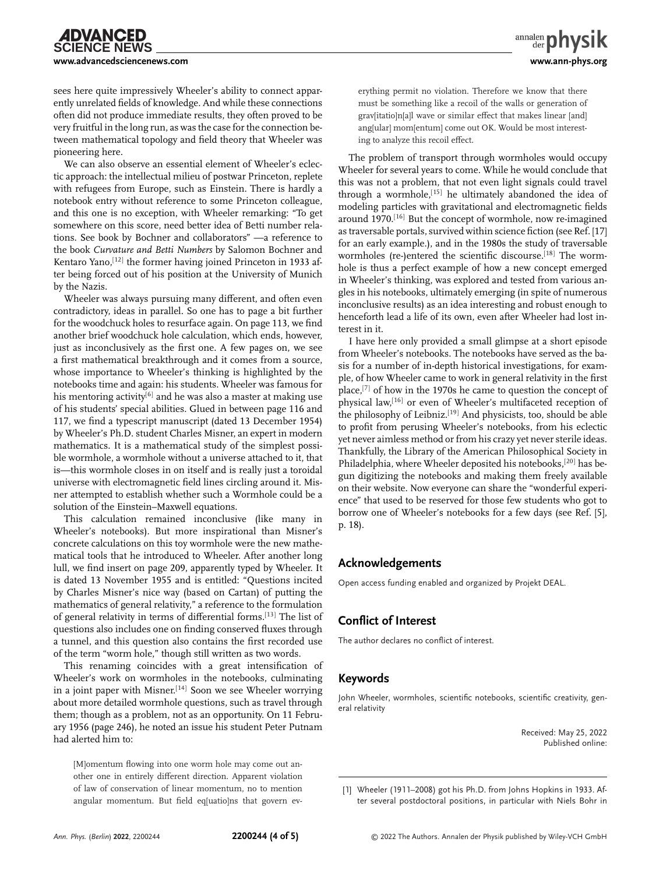sees here quite impressively Wheeler's ability to connect apparently unrelated fields of knowledge. And while these connections often did not produce immediate results, they often proved to be very fruitful in the long run, as was the case for the connection between mathematical topology and field theory that Wheeler was pioneering here.

We can also observe an essential element of Wheeler's eclectic approach: the intellectual milieu of postwar Princeton, replete with refugees from Europe, such as Einstein. There is hardly a notebook entry without reference to some Princeton colleague, and this one is no exception, with Wheeler remarking: "To get somewhere on this score, need better idea of Betti number relations. See book by Bochner and collaborators" —a reference to the book *Curvature and Betti Numbers* by Salomon Bochner and Kentaro Yano,<sup>[12]</sup> the former having joined Princeton in 1933 after being forced out of his position at the University of Munich by the Nazis.

Wheeler was always pursuing many different, and often even contradictory, ideas in parallel. So one has to page a bit further for the woodchuck holes to resurface again. On page 113, we find another brief woodchuck hole calculation, which ends, however, just as inconclusively as the first one. A few pages on, we see a first mathematical breakthrough and it comes from a source, whose importance to Wheeler's thinking is highlighted by the notebooks time and again: his students. Wheeler was famous for his mentoring activity<sup>[6]</sup> and he was also a master at making use of his students' special abilities. Glued in between page 116 and 117, we find a typescript manuscript (dated 13 December 1954) by Wheeler's Ph.D. student Charles Misner, an expert in modern mathematics. It is a mathematical study of the simplest possible wormhole, a wormhole without a universe attached to it, that is—this wormhole closes in on itself and is really just a toroidal universe with electromagnetic field lines circling around it. Misner attempted to establish whether such a Wormhole could be a solution of the Einstein–Maxwell equations.

This calculation remained inconclusive (like many in Wheeler's notebooks). But more inspirational than Misner's concrete calculations on this toy wormhole were the new mathematical tools that he introduced to Wheeler. After another long lull, we find insert on page 209, apparently typed by Wheeler. It is dated 13 November 1955 and is entitled: "Questions incited by Charles Misner's nice way (based on Cartan) of putting the mathematics of general relativity," a reference to the formulation of general relativity in terms of differential forms.[13] The list of questions also includes one on finding conserved fluxes through a tunnel, and this question also contains the first recorded use of the term "worm hole," though still written as two words.

This renaming coincides with a great intensification of Wheeler's work on wormholes in the notebooks, culminating in a joint paper with Misner.<sup>[14]</sup> Soon we see Wheeler worrying about more detailed wormhole questions, such as travel through them; though as a problem, not as an opportunity. On 11 February 1956 (page 246), he noted an issue his student Peter Putnam had alerted him to:

[M]omentum flowing into one worm hole may come out another one in entirely different direction. Apparent violation of law of conservation of linear momentum, no to mention angular momentum. But field eq[uatio]ns that govern everything permit no violation. Therefore we know that there must be something like a recoil of the walls or generation of grav[itatio]n[a]l wave or similar effect that makes linear [and] ang[ular] mom[entum] come out OK. Would be most interesting to analyze this recoil effect.

The problem of transport through wormholes would occupy Wheeler for several years to come. While he would conclude that this was not a problem, that not even light signals could travel through a wormhole,<sup>[15]</sup> he ultimately abandoned the idea of modeling particles with gravitational and electromagnetic fields around 1970.<sup>[16]</sup> But the concept of wormhole, now re-imagined as traversable portals, survived within science fiction (see Ref. [17] for an early example.), and in the 1980s the study of traversable wormholes (re-)entered the scientific discourse.<sup>[18]</sup> The wormhole is thus a perfect example of how a new concept emerged in Wheeler's thinking, was explored and tested from various angles in his notebooks, ultimately emerging (in spite of numerous inconclusive results) as an idea interesting and robust enough to henceforth lead a life of its own, even after Wheeler had lost interest in it.

I have here only provided a small glimpse at a short episode from Wheeler's notebooks. The notebooks have served as the basis for a number of in-depth historical investigations, for example, of how Wheeler came to work in general relativity in the first place,[7] of how in the 1970s he came to question the concept of physical law,<sup>[16]</sup> or even of Wheeler's multifaceted reception of the philosophy of Leibniz.[19] And physicists, too, should be able to profit from perusing Wheeler's notebooks, from his eclectic yet never aimless method or from his crazy yet never sterile ideas. Thankfully, the Library of the American Philosophical Society in Philadelphia, where Wheeler deposited his notebooks,<sup>[20]</sup> has begun digitizing the notebooks and making them freely available on their website. Now everyone can share the "wonderful experience" that used to be reserved for those few students who got to borrow one of Wheeler's notebooks for a few days (see Ref. [5], p. 18).

### **Acknowledgements**

Open access funding enabled and organized by Projekt DEAL.

### **Conflict of Interest**

The author declares no conflict of interest.

## **Keywords**

John Wheeler, wormholes, scientific notebooks, scientific creativity, general relativity

> Received: May 25, 2022 Published online:

<sup>[1]</sup> Wheeler (1911–2008) got his Ph.D. from Johns Hopkins in 1933. After several postdoctoral positions, in particular with Niels Bohr in